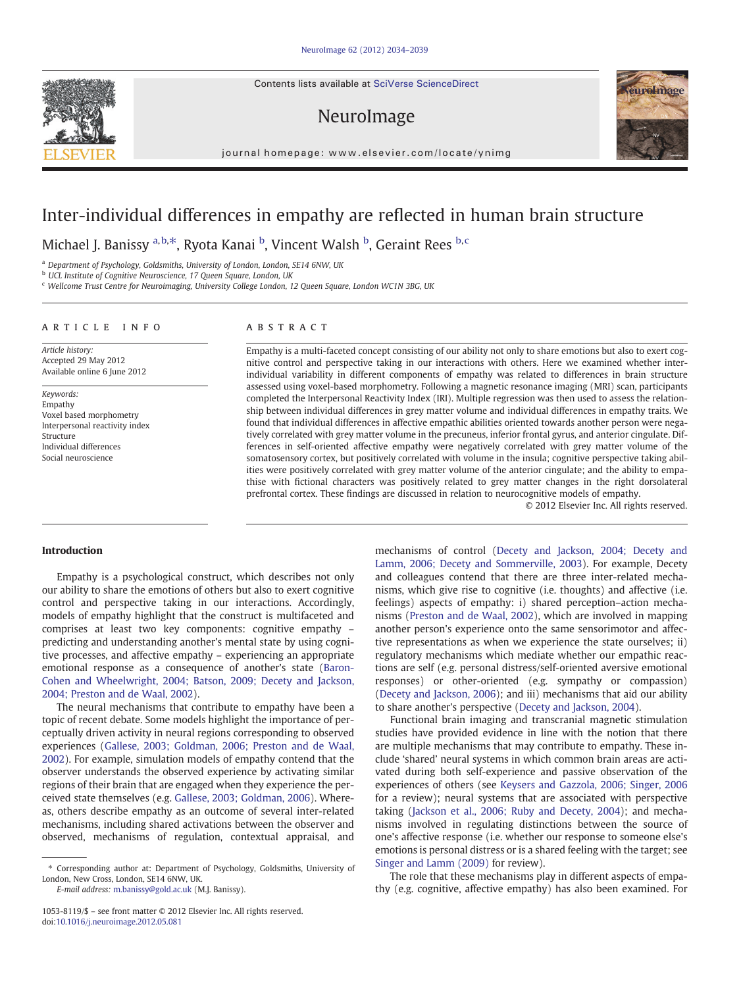Contents lists available at SciVerse ScienceDirect

# NeuroImage



journal homepage: www.elsevier.com/locate/ynimg

# Inter-individual differences in empathy are reflected in human brain structure

Michael J. Banissy <sup>a, b, \*</sup>, Ryota Kanai <sup>b</sup>, Vincent Walsh <sup>b</sup>, Geraint Rees <sup>b, c</sup>

<sup>a</sup> Department of Psychology, Goldsmiths, University of London, London, SE14 6NW, UK

b UCL Institute of Cognitive Neuroscience, 17 Queen Square, London, UK

<sup>c</sup> Wellcome Trust Centre for Neuroimaging, University College London, 12 Queen Square, London WC1N 3BG, UK

### article info abstract

Article history: Accepted 29 May 2012 Available online 6 June 2012

Keywords: Empathy Voxel based morphometry Interpersonal reactivity index Structure Individual differences Social neuroscience

Empathy is a multi-faceted concept consisting of our ability not only to share emotions but also to exert cognitive control and perspective taking in our interactions with others. Here we examined whether interindividual variability in different components of empathy was related to differences in brain structure assessed using voxel-based morphometry. Following a magnetic resonance imaging (MRI) scan, participants completed the Interpersonal Reactivity Index (IRI). Multiple regression was then used to assess the relationship between individual differences in grey matter volume and individual differences in empathy traits. We found that individual differences in affective empathic abilities oriented towards another person were negatively correlated with grey matter volume in the precuneus, inferior frontal gyrus, and anterior cingulate. Differences in self-oriented affective empathy were negatively correlated with grey matter volume of the somatosensory cortex, but positively correlated with volume in the insula; cognitive perspective taking abilities were positively correlated with grey matter volume of the anterior cingulate; and the ability to empathise with fictional characters was positively related to grey matter changes in the right dorsolateral prefrontal cortex. These findings are discussed in relation to neurocognitive models of empathy.

© 2012 Elsevier Inc. All rights reserved.

### Introduction

Empathy is a psychological construct, which describes not only our ability to share the emotions of others but also to exert cognitive control and perspective taking in our interactions. Accordingly, models of empathy highlight that the construct is multifaceted and comprises at least two key components: cognitive empathy – predicting and understanding another's mental state by using cognitive processes, and affective empathy – experiencing an appropriate emotional response as a consequence of another's state [\(Baron-](#page-4-0)[Cohen and Wheelwright, 2004; Batson, 2009; Decety and Jackson,](#page-4-0) [2004; Preston and de Waal, 2002](#page-4-0)).

The neural mechanisms that contribute to empathy have been a topic of recent debate. Some models highlight the importance of perceptually driven activity in neural regions corresponding to observed experiences [\(Gallese, 2003; Goldman, 2006; Preston and de Waal,](#page-4-0) [2002\)](#page-4-0). For example, simulation models of empathy contend that the observer understands the observed experience by activating similar regions of their brain that are engaged when they experience the perceived state themselves (e.g. [Gallese, 2003; Goldman, 2006](#page-4-0)). Whereas, others describe empathy as an outcome of several inter-related mechanisms, including shared activations between the observer and observed, mechanisms of regulation, contextual appraisal, and

E-mail address: [m.banissy@gold.ac.uk](mailto:m.banissy@gold.ac.uk) (M.J. Banissy).

mechanisms of control [\(Decety and Jackson, 2004; Decety and](#page-4-0) [Lamm, 2006; Decety and Sommerville, 2003](#page-4-0)). For example, Decety and colleagues contend that there are three inter-related mechanisms, which give rise to cognitive (i.e. thoughts) and affective (i.e. feelings) aspects of empathy: i) shared perception–action mechanisms [\(Preston and de Waal, 2002](#page-5-0)), which are involved in mapping another person's experience onto the same sensorimotor and affective representations as when we experience the state ourselves; ii) regulatory mechanisms which mediate whether our empathic reactions are self (e.g. personal distress/self-oriented aversive emotional responses) or other-oriented (e.g. sympathy or compassion) [\(Decety and Jackson, 2006\)](#page-4-0); and iii) mechanisms that aid our ability to share another's perspective [\(Decety and Jackson, 2004](#page-4-0)).

Functional brain imaging and transcranial magnetic stimulation studies have provided evidence in line with the notion that there are multiple mechanisms that may contribute to empathy. These include 'shared' neural systems in which common brain areas are activated during both self-experience and passive observation of the experiences of others (see [Keysers and Gazzola, 2006; Singer, 2006](#page-4-0) for a review); neural systems that are associated with perspective taking ([Jackson et al., 2006; Ruby and Decety, 2004\)](#page-4-0); and mechanisms involved in regulating distinctions between the source of one's affective response (i.e. whether our response to someone else's emotions is personal distress or is a shared feeling with the target; see [Singer and Lamm \(2009\)](#page-5-0) for review).

The role that these mechanisms play in different aspects of empathy (e.g. cognitive, affective empathy) has also been examined. For



<sup>⁎</sup> Corresponding author at: Department of Psychology, Goldsmiths, University of London, New Cross, London, SE14 6NW, UK.

<sup>1053-8119/\$</sup> – see front matter © 2012 Elsevier Inc. All rights reserved. doi[:10.1016/j.neuroimage.2012.05.081](http://dx.doi.org/10.1016/j.neuroimage.2012.05.081)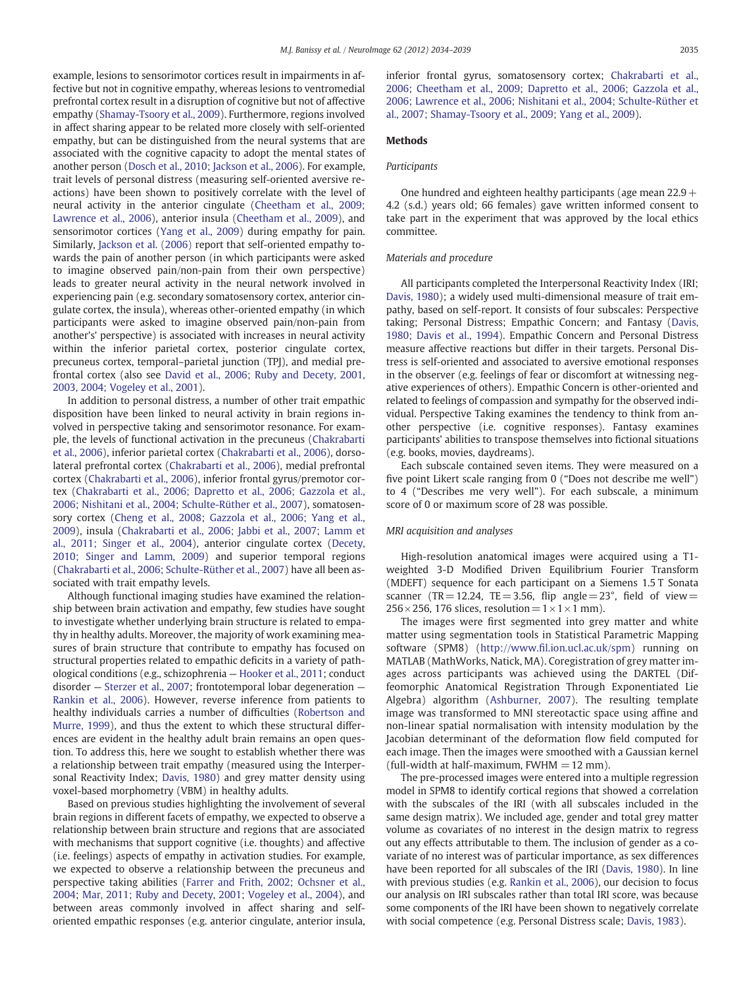<span id="page-1-0"></span>example, lesions to sensorimotor cortices result in impairments in affective but not in cognitive empathy, whereas lesions to ventromedial prefrontal cortex result in a disruption of cognitive but not of affective empathy [\(Shamay-Tsoory et al., 2009\)](#page-5-0). Furthermore, regions involved in affect sharing appear to be related more closely with self-oriented empathy, but can be distinguished from the neural systems that are associated with the cognitive capacity to adopt the mental states of another person [\(Dosch et al., 2010; Jackson et al., 2006\)](#page-4-0). For example, trait levels of personal distress (measuring self-oriented aversive reactions) have been shown to positively correlate with the level of neural activity in the anterior cingulate ([Cheetham et al., 2009;](#page-4-0) [Lawrence et al., 2006\)](#page-4-0), anterior insula [\(Cheetham et al., 2009\)](#page-4-0), and sensorimotor cortices [\(Yang et al., 2009](#page-5-0)) during empathy for pain. Similarly, [Jackson et al. \(2006\)](#page-4-0) report that self-oriented empathy towards the pain of another person (in which participants were asked to imagine observed pain/non-pain from their own perspective) leads to greater neural activity in the neural network involved in experiencing pain (e.g. secondary somatosensory cortex, anterior cingulate cortex, the insula), whereas other-oriented empathy (in which participants were asked to imagine observed pain/non-pain from another's' perspective) is associated with increases in neural activity within the inferior parietal cortex, posterior cingulate cortex, precuneus cortex, temporal–parietal junction (TPJ), and medial prefrontal cortex (also see [David et al., 2006; Ruby and Decety, 2001,](#page-4-0) [2003, 2004; Vogeley et al., 2001\)](#page-4-0).

In addition to personal distress, a number of other trait empathic disposition have been linked to neural activity in brain regions involved in perspective taking and sensorimotor resonance. For example, the levels of functional activation in the precuneus [\(Chakrabarti](#page-4-0) [et al., 2006](#page-4-0)), inferior parietal cortex [\(Chakrabarti et al., 2006](#page-4-0)), dorsolateral prefrontal cortex [\(Chakrabarti et al., 2006\)](#page-4-0), medial prefrontal cortex [\(Chakrabarti et al., 2006\)](#page-4-0), inferior frontal gyrus/premotor cortex [\(Chakrabarti et al., 2006; Dapretto et al., 2006; Gazzola et al.,](#page-4-0) [2006; Nishitani et al., 2004; Schulte-Rüther et al., 2007\)](#page-4-0), somatosensory cortex [\(Cheng et al., 2008; Gazzola et al., 2006; Yang et al.,](#page-4-0) [2009\)](#page-4-0), insula ([Chakrabarti et al., 2006; Jabbi et al., 2007; Lamm et](#page-4-0) [al., 2011; Singer et al., 2004](#page-4-0)), anterior cingulate cortex ([Decety,](#page-4-0) [2010; Singer and Lamm, 2009](#page-4-0)) and superior temporal regions [\(Chakrabarti et al., 2006; Schulte-Rüther et al., 2007\)](#page-4-0) have all been associated with trait empathy levels.

Although functional imaging studies have examined the relationship between brain activation and empathy, few studies have sought to investigate whether underlying brain structure is related to empathy in healthy adults. Moreover, the majority of work examining measures of brain structure that contribute to empathy has focused on structural properties related to empathic deficits in a variety of pathological conditions (e.g., schizophrenia — [Hooker et al., 2011;](#page-4-0) conduct disorder — [Sterzer et al., 2007](#page-5-0); frontotemporal lobar degeneration — [Rankin et al., 2006\)](#page-5-0). However, reverse inference from patients to healthy individuals carries a number of difficulties ([Robertson and](#page-5-0) [Murre, 1999](#page-5-0)), and thus the extent to which these structural differences are evident in the healthy adult brain remains an open question. To address this, here we sought to establish whether there was a relationship between trait empathy (measured using the Interpersonal Reactivity Index; [Davis, 1980](#page-4-0)) and grey matter density using voxel-based morphometry (VBM) in healthy adults.

Based on previous studies highlighting the involvement of several brain regions in different facets of empathy, we expected to observe a relationship between brain structure and regions that are associated with mechanisms that support cognitive (i.e. thoughts) and affective (i.e. feelings) aspects of empathy in activation studies. For example, we expected to observe a relationship between the precuneus and perspective taking abilities ([Farrer and Frith, 2002; Ochsner et al.,](#page-4-0) [2004;](#page-4-0) [Mar, 2011; Ruby and Decety, 2001; Vogeley et al., 2004\)](#page-4-0), and between areas commonly involved in affect sharing and selforiented empathic responses (e.g. anterior cingulate, anterior insula, inferior frontal gyrus, somatosensory cortex; [Chakrabarti et al.,](#page-4-0) [2006; Cheetham et al., 2009; Dapretto et al., 2006; Gazzola et al.,](#page-4-0) [2006; Lawrence et al., 2006; Nishitani et al., 2004; Schulte-Rüther et](#page-4-0) [al., 2007; Shamay-Tsoory et al., 2009; Yang et al., 2009\)](#page-4-0).

### Methods

### Participants

One hundred and eighteen healthy participants (age mean  $22.9+$ 4.2 (s.d.) years old; 66 females) gave written informed consent to take part in the experiment that was approved by the local ethics committee.

### Materials and procedure

All participants completed the Interpersonal Reactivity Index (IRI; [Davis, 1980\)](#page-4-0); a widely used multi-dimensional measure of trait empathy, based on self-report. It consists of four subscales: Perspective taking; Personal Distress; Empathic Concern; and Fantasy ([Davis,](#page-4-0) [1980; Davis et al., 1994\)](#page-4-0). Empathic Concern and Personal Distress measure affective reactions but differ in their targets. Personal Distress is self-oriented and associated to aversive emotional responses in the observer (e.g. feelings of fear or discomfort at witnessing negative experiences of others). Empathic Concern is other-oriented and related to feelings of compassion and sympathy for the observed individual. Perspective Taking examines the tendency to think from another perspective (i.e. cognitive responses). Fantasy examines participants' abilities to transpose themselves into fictional situations (e.g. books, movies, daydreams).

Each subscale contained seven items. They were measured on a five point Likert scale ranging from 0 ("Does not describe me well") to 4 ("Describes me very well"). For each subscale, a minimum score of 0 or maximum score of 28 was possible.

### MRI acquisition and analyses

High-resolution anatomical images were acquired using a T1 weighted 3-D Modified Driven Equilibrium Fourier Transform (MDEFT) sequence for each participant on a Siemens 1.5 T Sonata scanner (TR = 12.24, TE = 3.56, flip angle =  $23^{\circ}$ , field of view =  $256 \times 256$ , 176 slices, resolution =  $1 \times 1 \times 1$  mm).

The images were first segmented into grey matter and white matter using segmentation tools in Statistical Parametric Mapping software (SPM8) (http://www.fi[l.ion.ucl.ac.uk/spm](http://www.fil.ion.ucl.ac.uk/spm)) running on MATLAB (MathWorks, Natick, MA). Coregistration of grey matter images across participants was achieved using the DARTEL (Diffeomorphic Anatomical Registration Through Exponentiated Lie Algebra) algorithm [\(Ashburner, 2007](#page-4-0)). The resulting template image was transformed to MNI stereotactic space using affine and non-linear spatial normalisation with intensity modulation by the Jacobian determinant of the deformation flow field computed for each image. Then the images were smoothed with a Gaussian kernel (full-width at half-maximum, FWHM  $=12$  mm).

The pre-processed images were entered into a multiple regression model in SPM8 to identify cortical regions that showed a correlation with the subscales of the IRI (with all subscales included in the same design matrix). We included age, gender and total grey matter volume as covariates of no interest in the design matrix to regress out any effects attributable to them. The inclusion of gender as a covariate of no interest was of particular importance, as sex differences have been reported for all subscales of the IRI [\(Davis, 1980\)](#page-4-0). In line with previous studies (e.g. [Rankin et al., 2006\)](#page-5-0), our decision to focus our analysis on IRI subscales rather than total IRI score, was because some components of the IRI have been shown to negatively correlate with social competence (e.g. Personal Distress scale; [Davis, 1983](#page-4-0)).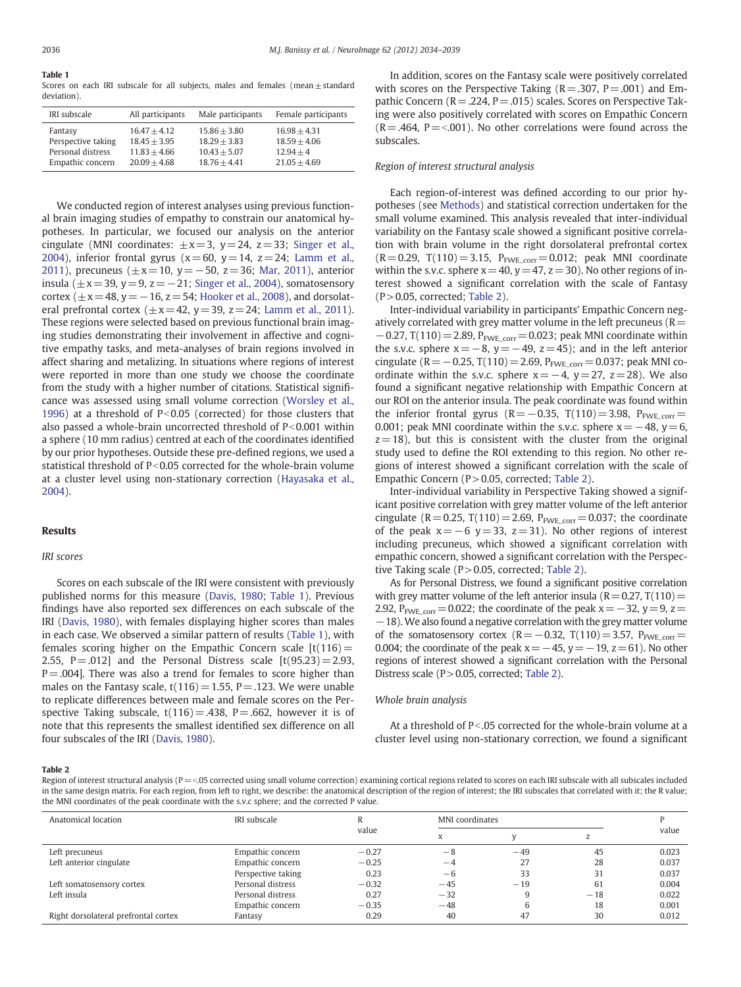## Table 1

Scores on each IRI subscale for all subjects, males and females (mean $\pm$  standard deviation).

| IRI subscale       | All participants | Male participants | Female participants |
|--------------------|------------------|-------------------|---------------------|
| Fantasy            | $16.47 + 4.12$   | $15.86 + 3.80$    | $16.98 + 4.31$      |
| Perspective taking | $18.45 + 3.95$   | $18.29 + 3.83$    | $18.59 + 4.06$      |
| Personal distress  | $11.83 + 4.66$   | $10.43 + 5.07$    | $12.94 + 4$         |
| Empathic concern   | $20.09 + 4.68$   | $18.76 + 4.41$    | $21.05 + 4.69$      |

We conducted region of interest analyses using previous functional brain imaging studies of empathy to constrain our anatomical hypotheses. In particular, we focused our analysis on the anterior cingulate (MNI coordinates:  $\pm x = 3$ ,  $y = 24$ ,  $z = 33$ ; [Singer et al.,](#page-5-0) [2004\)](#page-5-0), inferior frontal gyrus ( $x= 60$ ,  $y= 14$ ,  $z= 24$ ; [Lamm et al.,](#page-4-0) [2011\)](#page-4-0), precuneus ( $\pm x= 10$ , y = -50, z = 36; [Mar, 2011\)](#page-4-0), anterior insula ( $\pm x$  = 39, y = 9, z = −21; [Singer et al., 2004](#page-5-0)), somatosensory cortex ( $\pm x = 48$ , y =  $-16$ , z = 54; [Hooker et al., 2008\)](#page-4-0), and dorsolateral prefrontal cortex ( $\pm x$  = 42, y = 39, z = 24; [Lamm et al., 2011](#page-4-0)). These regions were selected based on previous functional brain imaging studies demonstrating their involvement in affective and cognitive empathy tasks, and meta-analyses of brain regions involved in affect sharing and metalizing. In situations where regions of interest were reported in more than one study we choose the coordinate from the study with a higher number of citations. Statistical significance was assessed using small volume correction ([Worsley et al.,](#page-5-0) [1996\)](#page-5-0) at a threshold of  $P<0.05$  (corrected) for those clusters that also passed a whole-brain uncorrected threshold of  $P<0.001$  within a sphere (10 mm radius) centred at each of the coordinates identified by our prior hypotheses. Outside these pre-defined regions, we used a statistical threshold of  $P<0.05$  corrected for the whole-brain volume at a cluster level using non-stationary correction [\(Hayasaka et al.,](#page-4-0) [2004\)](#page-4-0).

### Results

### IRI scores

Scores on each subscale of the IRI were consistent with previously published norms for this measure [\(Davis, 1980](#page-4-0); Table 1). Previous findings have also reported sex differences on each subscale of the IRI ([Davis, 1980\)](#page-4-0), with females displaying higher scores than males in each case. We observed a similar pattern of results (Table 1), with females scoring higher on the Empathic Concern scale  $[t(116)$  = 2.55, P = .012] and the Personal Distress scale  $[t(95.23) = 2.93,$  $P = .004$ . There was also a trend for females to score higher than males on the Fantasy scale,  $t(116) = 1.55$ , P = .123. We were unable to replicate differences between male and female scores on the Perspective Taking subscale,  $t(116) = .438$ , P = .662, however it is of note that this represents the smallest identified sex difference on all four subscales of the IRI ([Davis, 1980\)](#page-4-0).

In addition, scores on the Fantasy scale were positively correlated with scores on the Perspective Taking ( $R = 0.307$ ,  $P = 0.001$ ) and Empathic Concern  $(R = .224, P = .015)$  scales. Scores on Perspective Taking were also positively correlated with scores on Empathic Concern  $(R=.464, P=<.001)$ . No other correlations were found across the subscales.

### Region of interest structural analysis

Each region-of-interest was defined according to our prior hypotheses (see [Methods\)](#page-1-0) and statistical correction undertaken for the small volume examined. This analysis revealed that inter-individual variability on the Fantasy scale showed a significant positive correlation with brain volume in the right dorsolateral prefrontal cortex  $(R = 0.29, T(110) = 3.15, P_{FWE\_corr} = 0.012; peak MNI coordinate$ within the s.v.c. sphere  $x = 40$ ,  $y = 47$ ,  $z = 30$ ). No other regions of interest showed a significant correlation with the scale of Fantasy  $(P> 0.05$ , corrected: Table 2).

Inter-individual variability in participants' Empathic Concern negatively correlated with grey matter volume in the left precuneus ( $R=$  $-0.27$ , T(110) = 2.89,  $P_{FWE\_corr}$  = 0.023; peak MNI coordinate within the s.v.c. sphere  $x = -8$ ,  $y = -49$ ,  $z = 45$ ); and in the left anterior cingulate ( $R = -0.25$ , T(110) = 2.69, P<sub>FWE\_corr</sub> = 0.037; peak MNI coordinate within the s.v.c. sphere  $x = -4$ ,  $y = 27$ ,  $z = 28$ ). We also found a significant negative relationship with Empathic Concern at our ROI on the anterior insula. The peak coordinate was found within the inferior frontal gyrus (R = −0.35, T(110) = 3.98,  $P_{\text{FWE corr}}$  = 0.001; peak MNI coordinate within the s.v.c. sphere  $x = -48$ ,  $y = 6$ ,  $z = 18$ ), but this is consistent with the cluster from the original study used to define the ROI extending to this region. No other regions of interest showed a significant correlation with the scale of Empathic Concern  $(P> 0.05$ , corrected; Table 2).

Inter-individual variability in Perspective Taking showed a significant positive correlation with grey matter volume of the left anterior cingulate (R = 0.25, T(110) = 2.69,  $P_{FWE\_corr}$  = 0.037; the coordinate of the peak  $x = -6$  y=33, z=31). No other regions of interest including precuneus, which showed a significant correlation with empathic concern, showed a significant correlation with the Perspective Taking scale ( $P > 0.05$ , corrected; Table 2).

As for Personal Distress, we found a significant positive correlation with grey matter volume of the left anterior insula ( $R=0.27$ ,  $T(110)=$ 2.92, P<sub>FWE\_corr</sub> = 0.022; the coordinate of the peak  $x=-32$ ,  $y=9$ ,  $z=$ −18). We also found a negative correlation with the grey matter volume of the somatosensory cortex (R = −0.32, T(110) = 3.57,  $P_{\text{FWE\_corr}}$  = 0.004; the coordinate of the peak  $x=-45$ ,  $y=-19$ ,  $z=61$ ). No other regions of interest showed a significant correlation with the Personal Distress scale (P > 0.05, corrected; Table 2).

### Whole brain analysis

At a threshold of  $P < .05$  corrected for the whole-brain volume at a cluster level using non-stationary correction, we found a significant

### Table 2

Region of interest structural analysis ( $P = < 05$  corrected using small volume correction) examining cortical regions related to scores on each IRI subscale with all subscales included in the same design matrix. For each region, from left to right, we describe: the anatomical description of the region of interest; the IRI subscales that correlated with it; the R value; the MNI coordinates of the peak coordinate with the s.v.c sphere; and the corrected P value.

| Anatomical location                  | IRI subscale       |         |       | MNI coordinates |       |       |
|--------------------------------------|--------------------|---------|-------|-----------------|-------|-------|
|                                      |                    | value   | X     |                 |       | value |
| Left precuneus                       | Empathic concern   | $-0.27$ | $-8$  | $-49$           | 45    | 0.023 |
| Left anterior cingulate              | Empathic concern   | $-0.25$ | $-4$  | 27              | 28    | 0.037 |
|                                      | Perspective taking | 0.23    | $-6$  | 33              | 31    | 0.037 |
| Left somatosensory cortex            | Personal distress  | $-0.32$ | $-45$ | $-19$           | 61    | 0.004 |
| Left insula                          | Personal distress  | 0.27    | $-32$ |                 | $-18$ | 0.022 |
|                                      | Empathic concern   | $-0.35$ | $-48$ | b               | 18    | 0.001 |
| Right dorsolateral prefrontal cortex | Fantasy            | 0.29    | 40    | 47              | 30    | 0.012 |
|                                      |                    |         |       |                 |       |       |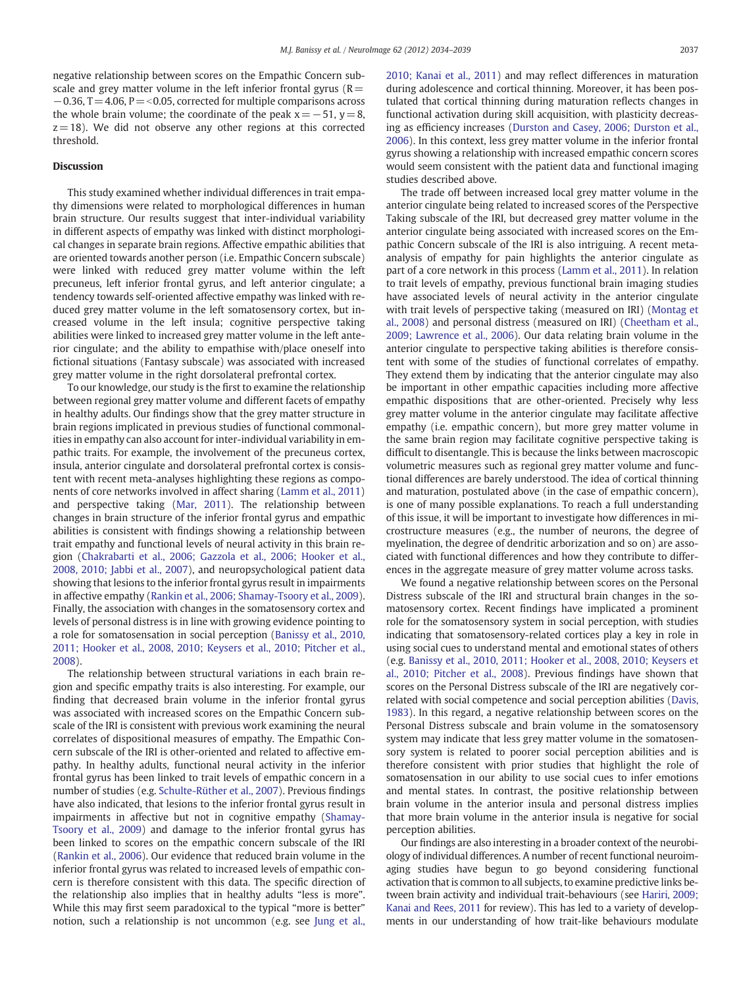negative relationship between scores on the Empathic Concern subscale and grey matter volume in the left inferior frontal gyrus ( $R=$  $-0.36$ , T = 4.06, P = <0.05, corrected for multiple comparisons across the whole brain volume; the coordinate of the peak  $x = -51$ ,  $y = 8$ ,  $z= 18$ ). We did not observe any other regions at this corrected threshold.

### Discussion

This study examined whether individual differences in trait empathy dimensions were related to morphological differences in human brain structure. Our results suggest that inter-individual variability in different aspects of empathy was linked with distinct morphological changes in separate brain regions. Affective empathic abilities that are oriented towards another person (i.e. Empathic Concern subscale) were linked with reduced grey matter volume within the left precuneus, left inferior frontal gyrus, and left anterior cingulate; a tendency towards self-oriented affective empathy was linked with reduced grey matter volume in the left somatosensory cortex, but increased volume in the left insula; cognitive perspective taking abilities were linked to increased grey matter volume in the left anterior cingulate; and the ability to empathise with/place oneself into fictional situations (Fantasy subscale) was associated with increased grey matter volume in the right dorsolateral prefrontal cortex.

To our knowledge, our study is the first to examine the relationship between regional grey matter volume and different facets of empathy in healthy adults. Our findings show that the grey matter structure in brain regions implicated in previous studies of functional commonalities in empathy can also account for inter-individual variability in empathic traits. For example, the involvement of the precuneus cortex, insula, anterior cingulate and dorsolateral prefrontal cortex is consistent with recent meta-analyses highlighting these regions as components of core networks involved in affect sharing ([Lamm et al., 2011](#page-4-0)) and perspective taking ([Mar, 2011](#page-4-0)). The relationship between changes in brain structure of the inferior frontal gyrus and empathic abilities is consistent with findings showing a relationship between trait empathy and functional levels of neural activity in this brain region ([Chakrabarti et al., 2006; Gazzola et al., 2006; Hooker et al.,](#page-4-0) [2008, 2010; Jabbi et al., 2007](#page-4-0)), and neuropsychological patient data showing that lesions to the inferior frontal gyrus result in impairments in affective empathy [\(Rankin et al., 2006; Shamay-Tsoory et al., 2009](#page-5-0)). Finally, the association with changes in the somatosensory cortex and levels of personal distress is in line with growing evidence pointing to a role for somatosensation in social perception [\(Banissy et al., 2010,](#page-4-0) [2011; Hooker et al., 2008, 2010; Keysers et al., 2010; Pitcher et al.,](#page-4-0) [2008\)](#page-4-0).

The relationship between structural variations in each brain region and specific empathy traits is also interesting. For example, our finding that decreased brain volume in the inferior frontal gyrus was associated with increased scores on the Empathic Concern subscale of the IRI is consistent with previous work examining the neural correlates of dispositional measures of empathy. The Empathic Concern subscale of the IRI is other-oriented and related to affective empathy. In healthy adults, functional neural activity in the inferior frontal gyrus has been linked to trait levels of empathic concern in a number of studies (e.g. [Schulte-Rüther et al., 2007\)](#page-5-0). Previous findings have also indicated, that lesions to the inferior frontal gyrus result in impairments in affective but not in cognitive empathy ([Shamay-](#page-5-0)[Tsoory et al., 2009\)](#page-5-0) and damage to the inferior frontal gyrus has been linked to scores on the empathic concern subscale of the IRI [\(Rankin et al., 2006\)](#page-5-0). Our evidence that reduced brain volume in the inferior frontal gyrus was related to increased levels of empathic concern is therefore consistent with this data. The specific direction of the relationship also implies that in healthy adults "less is more". While this may first seem paradoxical to the typical "more is better" notion, such a relationship is not uncommon (e.g. see [Jung et al.,](#page-4-0)

[2010; Kanai et al., 2011\)](#page-4-0) and may reflect differences in maturation during adolescence and cortical thinning. Moreover, it has been postulated that cortical thinning during maturation reflects changes in functional activation during skill acquisition, with plasticity decreasing as efficiency increases [\(Durston and Casey, 2006; Durston et al.,](#page-4-0) [2006\)](#page-4-0). In this context, less grey matter volume in the inferior frontal gyrus showing a relationship with increased empathic concern scores would seem consistent with the patient data and functional imaging studies described above.

The trade off between increased local grey matter volume in the anterior cingulate being related to increased scores of the Perspective Taking subscale of the IRI, but decreased grey matter volume in the anterior cingulate being associated with increased scores on the Empathic Concern subscale of the IRI is also intriguing. A recent metaanalysis of empathy for pain highlights the anterior cingulate as part of a core network in this process ([Lamm et al., 2011](#page-4-0)). In relation to trait levels of empathy, previous functional brain imaging studies have associated levels of neural activity in the anterior cingulate with trait levels of perspective taking (measured on IRI) ([Montag et](#page-4-0) [al., 2008](#page-4-0)) and personal distress (measured on IRI) [\(Cheetham et al.,](#page-4-0) [2009; Lawrence et al., 2006](#page-4-0)). Our data relating brain volume in the anterior cingulate to perspective taking abilities is therefore consistent with some of the studies of functional correlates of empathy. They extend them by indicating that the anterior cingulate may also be important in other empathic capacities including more affective empathic dispositions that are other-oriented. Precisely why less grey matter volume in the anterior cingulate may facilitate affective empathy (i.e. empathic concern), but more grey matter volume in the same brain region may facilitate cognitive perspective taking is difficult to disentangle. This is because the links between macroscopic volumetric measures such as regional grey matter volume and functional differences are barely understood. The idea of cortical thinning and maturation, postulated above (in the case of empathic concern), is one of many possible explanations. To reach a full understanding of this issue, it will be important to investigate how differences in microstructure measures (e.g., the number of neurons, the degree of myelination, the degree of dendritic arborization and so on) are associated with functional differences and how they contribute to differences in the aggregate measure of grey matter volume across tasks.

We found a negative relationship between scores on the Personal Distress subscale of the IRI and structural brain changes in the somatosensory cortex. Recent findings have implicated a prominent role for the somatosensory system in social perception, with studies indicating that somatosensory-related cortices play a key in role in using social cues to understand mental and emotional states of others (e.g. [Banissy et al., 2010, 2011; Hooker et al., 2008, 2010; Keysers et](#page-4-0) [al., 2010; Pitcher et al., 2008\)](#page-4-0). Previous findings have shown that scores on the Personal Distress subscale of the IRI are negatively correlated with social competence and social perception abilities ([Davis,](#page-4-0) [1983\)](#page-4-0). In this regard, a negative relationship between scores on the Personal Distress subscale and brain volume in the somatosensory system may indicate that less grey matter volume in the somatosensory system is related to poorer social perception abilities and is therefore consistent with prior studies that highlight the role of somatosensation in our ability to use social cues to infer emotions and mental states. In contrast, the positive relationship between brain volume in the anterior insula and personal distress implies that more brain volume in the anterior insula is negative for social perception abilities.

Our findings are also interesting in a broader context of the neurobiology of individual differences. A number of recent functional neuroimaging studies have begun to go beyond considering functional activation that is common to all subjects, to examine predictive links between brain activity and individual trait-behaviours (see [Hariri, 2009;](#page-4-0) [Kanai and Rees, 2011](#page-4-0) for review). This has led to a variety of developments in our understanding of how trait-like behaviours modulate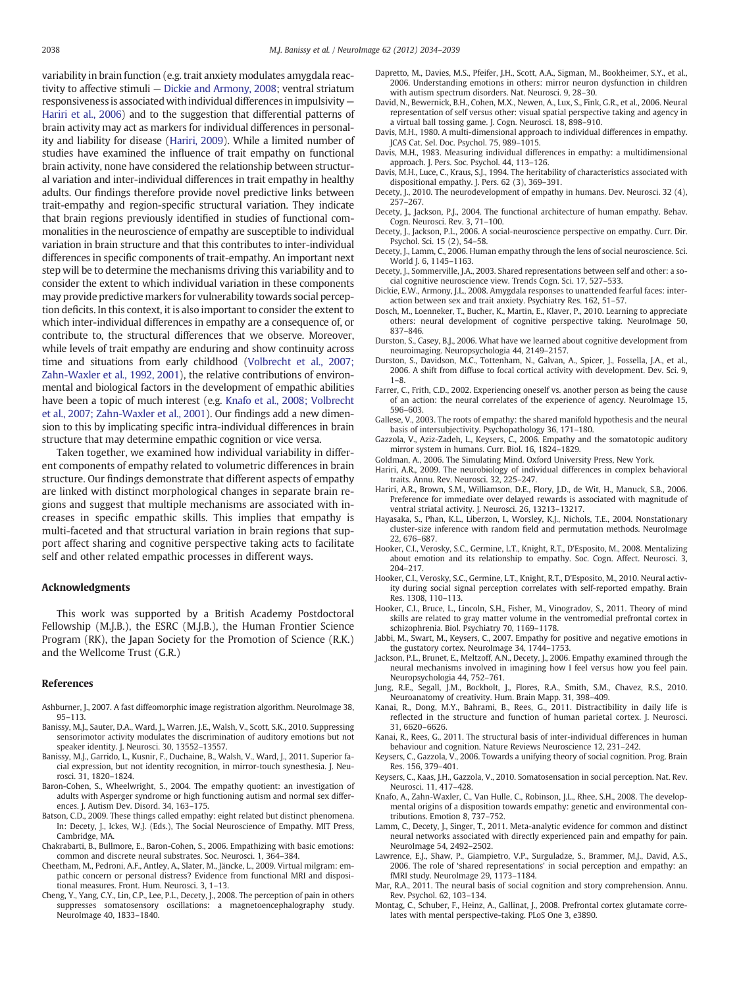<span id="page-4-0"></span>variability in brain function (e.g. trait anxiety modulates amygdala reactivity to affective stimuli — Dickie and Armony, 2008; ventral striatum responsiveness is associated with individual differences in impulsivity — Hariri et al., 2006) and to the suggestion that differential patterns of brain activity may act as markers for individual differences in personality and liability for disease (Hariri, 2009). While a limited number of studies have examined the influence of trait empathy on functional brain activity, none have considered the relationship between structural variation and inter-individual differences in trait empathy in healthy adults. Our findings therefore provide novel predictive links between trait-empathy and region-specific structural variation. They indicate that brain regions previously identified in studies of functional commonalities in the neuroscience of empathy are susceptible to individual variation in brain structure and that this contributes to inter-individual differences in specific components of trait-empathy. An important next step will be to determine the mechanisms driving this variability and to consider the extent to which individual variation in these components may provide predictive markers for vulnerability towards social perception deficits. In this context, it is also important to consider the extent to which inter-individual differences in empathy are a consequence of, or contribute to, the structural differences that we observe. Moreover, while levels of trait empathy are enduring and show continuity across time and situations from early childhood [\(Volbrecht et al., 2007;](#page-5-0) [Zahn-Waxler et al., 1992, 2001](#page-5-0)), the relative contributions of environmental and biological factors in the development of empathic abilities have been a topic of much interest (e.g. Knafo et al., 2008; Volbrecht et al., 2007; Zahn-Waxler et al., 2001). Our findings add a new dimension to this by implicating specific intra-individual differences in brain structure that may determine empathic cognition or vice versa.

Taken together, we examined how individual variability in different components of empathy related to volumetric differences in brain structure. Our findings demonstrate that different aspects of empathy are linked with distinct morphological changes in separate brain regions and suggest that multiple mechanisms are associated with increases in specific empathic skills. This implies that empathy is multi-faceted and that structural variation in brain regions that support affect sharing and cognitive perspective taking acts to facilitate self and other related empathic processes in different ways.

### Acknowledgments

This work was supported by a British Academy Postdoctoral Fellowship (M.J.B.), the ESRC (M.J.B.), the Human Frontier Science Program (RK), the Japan Society for the Promotion of Science (R.K.) and the Wellcome Trust (G.R.)

### References

- Ashburner, J., 2007. A fast diffeomorphic image registration algorithm. NeuroImage 38, 95–113.
- Banissy, M.J., Sauter, D.A., Ward, J., Warren, J.E., Walsh, V., Scott, S.K., 2010. Suppressing sensorimotor activity modulates the discrimination of auditory emotions but not speaker identity. J. Neurosci. 30, 13552–13557.
- Banissy, M.J., Garrido, L., Kusnir, F., Duchaine, B., Walsh, V., Ward, J., 2011. Superior facial expression, but not identity recognition, in mirror-touch synesthesia. J. Neurosci. 31, 1820–1824.
- Baron-Cohen, S., Wheelwright, S., 2004. The empathy quotient: an investigation of adults with Asperger syndrome or high functioning autism and normal sex differences. J. Autism Dev. Disord. 34, 163–175.
- Batson, C.D., 2009. These things called empathy: eight related but distinct phenomena. In: Decety, J., Ickes, W.J. (Eds.), The Social Neuroscience of Empathy. MIT Press, Cambridge, MA.
- Chakrabarti, B., Bullmore, E., Baron-Cohen, S., 2006. Empathizing with basic emotions: common and discrete neural substrates. Soc. Neurosci. 1, 364–384.
- Cheetham, M., Pedroni, A.F., Antley, A., Slater, M., Jäncke, L., 2009. Virtual milgram: empathic concern or personal distress? Evidence from functional MRI and dispositional measures. Front. Hum. Neurosci. 3, 1–13.
- Cheng, Y., Yang, C.Y., Lin, C.P., Lee, P.L., Decety, J., 2008. The perception of pain in others suppresses somatosensory oscillations: a magnetoencephalography study. NeuroImage 40, 1833–1840.
- Dapretto, M., Davies, M.S., Pfeifer, J.H., Scott, A.A., Sigman, M., Bookheimer, S.Y., et al., 2006. Understanding emotions in others: mirror neuron dysfunction in children with autism spectrum disorders. Nat. Neurosci. 9, 28–30.
- David, N., Bewernick, B.H., Cohen, M.X., Newen, A., Lux, S., Fink, G.R., et al., 2006. Neural representation of self versus other: visual spatial perspective taking and agency in a virtual ball tossing game. J. Cogn. Neurosci. 18, 898–910.
- Davis, M.H., 1980. A multi-dimensional approach to individual differences in empathy. JCAS Cat. Sel. Doc. Psychol. 75, 989–1015.
- Davis, M.H., 1983. Measuring individual differences in empathy: a multidimensional approach. J. Pers. Soc. Psychol. 44, 113–126.
- Davis, M.H., Luce, C., Kraus, S.J., 1994. The heritability of characteristics associated with dispositional empathy. J. Pers. 62 (3), 369–391.
- Decety, J., 2010. The neurodevelopment of empathy in humans. Dev. Neurosci. 32 (4), 257–267.
- Decety, J., Jackson, P.J., 2004. The functional architecture of human empathy. Behav. Cogn. Neurosci. Rev. 3, 71–100.
- Decety, J., Jackson, P.L., 2006. A social-neuroscience perspective on empathy. Curr. Dir. Psychol. Sci. 15 (2), 54–58.
- Decety, J., Lamm, C., 2006. Human empathy through the lens of social neuroscience. Sci. World J. 6, 1145-1163.
- Decety, J., Sommerville, J.A., 2003. Shared representations between self and other: a social cognitive neuroscience view. Trends Cogn. Sci. 17, 527–533.
- Dickie, E.W., Armony, J.L., 2008. Amygdala responses to unattended fearful faces: interaction between sex and trait anxiety. Psychiatry Res. 162, 51–57.
- Dosch, M., Loenneker, T., Bucher, K., Martin, E., Klaver, P., 2010. Learning to appreciate others: neural development of cognitive perspective taking. NeuroImage 50, 837–846.
- Durston, S., Casey, B.J., 2006. What have we learned about cognitive development from neuroimaging. Neuropsychologia 44, 2149–2157.
- Durston, S., Davidson, M.C., Tottenham, N., Galvan, A., Spicer, J., Fossella, J.A., et al., 2006. A shift from diffuse to focal cortical activity with development. Dev. Sci. 9, 1–8.
- Farrer, C., Frith, C.D., 2002. Experiencing oneself vs. another person as being the cause of an action: the neural correlates of the experience of agency. NeuroImage 15, 596–603.
- Gallese, V., 2003. The roots of empathy: the shared manifold hypothesis and the neural basis of intersubjectivity. Psychopathology 36, 171–180.
- Gazzola, V., Aziz-Zadeh, L., Keysers, C., 2006. Empathy and the somatotopic auditory mirror system in humans. Curr. Biol. 16, 1824–1829.
- Goldman, A., 2006. The Simulating Mind. Oxford University Press, New York.
- Hariri, A.R., 2009. The neurobiology of individual differences in complex behavioral traits. Annu. Rev. Neurosci. 32, 225–247.
- Hariri, A.R., Brown, S.M., Williamson, D.E., Flory, J.D., de Wit, H., Manuck, S.B., 2006. Preference for immediate over delayed rewards is associated with magnitude of ventral striatal activity. J. Neurosci. 26, 13213–13217.
- Hayasaka, S., Phan, K.L., Liberzon, I., Worsley, K.J., Nichols, T.E., 2004. Nonstationary cluster-size inference with random field and permutation methods. NeuroImage 22, 676–687.
- Hooker, C.I., Verosky, S.C., Germine, L.T., Knight, R.T., D'Esposito, M., 2008. Mentalizing about emotion and its relationship to empathy. Soc. Cogn. Affect. Neurosci. 3, 204–217.
- Hooker, C.I., Verosky, S.C., Germine, L.T., Knight, R.T., D'Esposito, M., 2010. Neural activity during social signal perception correlates with self-reported empathy. Brain Res. 1308, 110–113.
- Hooker, C.I., Bruce, L., Lincoln, S.H., Fisher, M., Vinogradov, S., 2011. Theory of mind skills are related to gray matter volume in the ventromedial prefrontal cortex in schizophrenia. Biol. Psychiatry 70, 1169–1178.
- Jabbi, M., Swart, M., Keysers, C., 2007. Empathy for positive and negative emotions in the gustatory cortex. NeuroImage 34, 1744–1753.
- Jackson, P.L., Brunet, E., Meltzoff, A.N., Decety, J., 2006. Empathy examined through the neural mechanisms involved in imagining how I feel versus how you feel pain. Neuropsychologia 44, 752–761.
- Jung, R.E., Segall, J.M., Bockholt, J., Flores, R.A., Smith, S.M., Chavez, R.S., 2010. Neuroanatomy of creativity. Hum. Brain Mapp. 31, 398–409.
- Kanai, R., Dong, M.Y., Bahrami, B., Rees, G., 2011. Distractibility in daily life is reflected in the structure and function of human parietal cortex. J. Neurosci. 31, 6620–6626.
- Kanai, R., Rees, G., 2011. The structural basis of inter-individual differences in human behaviour and cognition. Nature Reviews Neuroscience 12, 231–242.
- Keysers, C., Gazzola, V., 2006. Towards a unifying theory of social cognition. Prog. Brain Res. 156, 379–401.
- Keysers, C., Kaas, J.H., Gazzola, V., 2010. Somatosensation in social perception. Nat. Rev. Neurosci. 11, 417–428.
- Knafo, A., Zahn-Waxler, C., Van Hulle, C., Robinson, J.L., Rhee, S.H., 2008. The developmental origins of a disposition towards empathy: genetic and environmental contributions. Emotion 8, 737–752.
- Lamm, C., Decety, J., Singer, T., 2011. Meta-analytic evidence for common and distinct neural networks associated with directly experienced pain and empathy for pain. NeuroImage 54, 2492–2502.
- Lawrence, E.J., Shaw, P., Giampietro, V.P., Surguladze, S., Brammer, M.J., David, A.S., 2006. The role of 'shared representations' in social perception and empathy: an fMRI study. NeuroImage 29, 1173–1184.
- Mar, R.A., 2011. The neural basis of social cognition and story comprehension. Annu. Rev. Psychol. 62, 103–134.
- Montag, C., Schuber, F., Heinz, A., Gallinat, J., 2008. Prefrontal cortex glutamate correlates with mental perspective-taking. PLoS One 3, e3890.